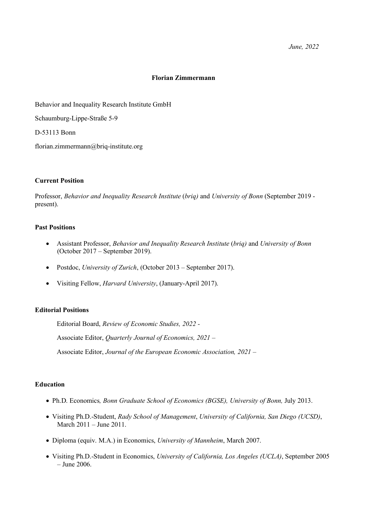## **Florian Zimmermann**

Behavior and Inequality Research Institute GmbH

Schaumburg-Lippe-Straße 5-9

D-53113 Bonn

florian.zimmermann@briq-institute.org

# **Current Position**

Professor, *Behavior and Inequality Research Institute* (*briq)* and *University of Bonn* (September 2019 present).

## **Past Positions**

- Assistant Professor, *Behavior and Inequality Research Institute* (*briq)* and *University of Bonn*  (October 2017 – September 2019).
- Postdoc, *University of Zurich*, (October 2013 September 2017).
- Visiting Fellow, *Harvard University*, (January-April 2017).

# **Editorial Positions**

Editorial Board, *Review of Economic Studies, 2022 -*

Associate Editor, *Quarterly Journal of Economics, 2021 –*

Associate Editor, *Journal of the European Economic Association, 2021 –*

# **Education**

- Ph.D. Economics*, Bonn Graduate School of Economics (BGSE), University of Bonn,* July 2013.
- Visiting Ph.D.-Student, *Rady School of Management*, *University of California, San Diego (UCSD)*, March 2011 – June 2011.
- Diploma (equiv. M.A.) in Economics, *University of Mannheim*, March 2007.
- Visiting Ph.D.-Student in Economics, *University of California, Los Angeles (UCLA)*, September 2005 – June 2006.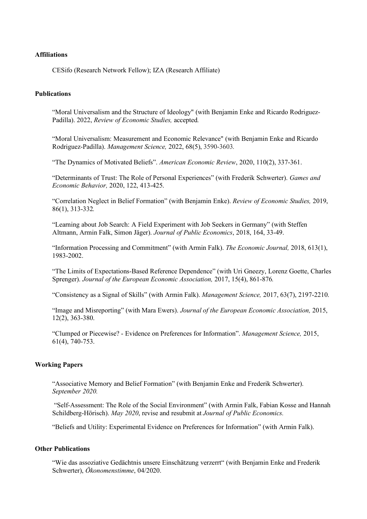## **Affiliations**

CESifo (Research Network Fellow); IZA (Research Affiliate)

# **Publications**

"Moral Universalism and the Structure of Ideology" (with Benjamin Enke and Ricardo Rodriguez-Padilla). 2022, *Review of Economic Studies,* accepted*.*

"Moral Universalism: Measurement and Economic Relevance" (with Benjamin Enke and Ricardo Rodriguez-Padilla). *Management Science,* 2022, 68(5), 3590-3603*.*

"The Dynamics of Motivated Beliefs". *American Economic Review*, 2020, 110(2), 337-361.

"Determinants of Trust: The Role of Personal Experiences" (with Frederik Schwerter). *Games and Economic Behavior,* 2020, 122, 413-425.

"Correlation Neglect in Belief Formation" (with Benjamin Enke). *Review of Economic Studies,* 2019, 86(1), 313-332*.*

"Learning about Job Search: A Field Experiment with Job Seekers in Germany" (with Steffen Altmann, Armin Falk, Simon Jäger). *Journal of Public Economics*, 2018, 164, 33-49.

"Information Processing and Commitment" (with Armin Falk). *The Economic Journal,* 2018, 613(1), 1983-2002.

"The Limits of Expectations-Based Reference Dependence" (with Uri Gneezy, Lorenz Goette, Charles Sprenger). *Journal of the European Economic Association,* 2017, 15(4), 861-876*.*

"Consistency as a Signal of Skills" (with Armin Falk). *Management Science,* 2017, 63(7), 2197-2210.

"Image and Misreporting" (with Mara Ewers). *Journal of the European Economic Association,* 2015, 12(2), 363-380.

"Clumped or Piecewise? - Evidence on Preferences for Information". *Management Science,* 2015, 61(4), 740-753.

#### **Working Papers**

"Associative Memory and Belief Formation" (with Benjamin Enke and Frederik Schwerter). *September 2020.*

"Self-Assessment: The Role of the Social Environment" (with Armin Falk, Fabian Kosse and Hannah Schildberg-Hörisch). *May 2020*, revise and resubmit at *Journal of Public Economics.*

"Beliefs and Utility: Experimental Evidence on Preferences for Information" (with Armin Falk).

# **Other Publications**

"Wie das assoziative Gedächtnis unsere Einschätzung verzerrt" (with Benjamin Enke and Frederik Schwerter), *Ökonomenstimme*, 04/2020.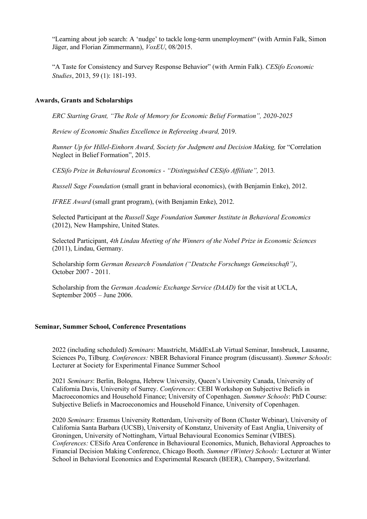"Learning about job search: A 'nudge' to tackle long-term unemployment" (with Armin Falk, Simon Jäger, and Florian Zimmermann), *VoxEU*, 08/2015.

"A Taste for Consistency and Survey Response Behavior" (with Armin Falk). *CESifo Economic Studies*, 2013, 59 (1): 181-193.

#### **Awards, Grants and Scholarships**

*ERC Starting Grant, "The Role of Memory for Economic Belief Formation", 2020-2025*

*Review of Economic Studies Excellence in Refereeing Award,* 2019.

*Runner Up for Hillel-Einhorn Award, Society for Judgment and Decision Making,* for "Correlation Neglect in Belief Formation", 2015.

*CESifo Prize in Behavioural Economics - "Distinguished CESifo Affiliate",* 2013*.*

*Russell Sage Foundation* (small grant in behavioral economics), (with Benjamin Enke), 2012.

*IFREE Award* (small grant program), (with Benjamin Enke), 2012.

Selected Participant at the *Russell Sage Foundation Summer Institute in Behavioral Economics* (2012), New Hampshire, United States.

Selected Participant, *4th Lindau Meeting of the Winners of the Nobel Prize in Economic Sciences* (2011), Lindau, Germany.

Scholarship form *German Research Foundation ("Deutsche Forschungs Gemeinschaft")*, October 2007 - 2011.

Scholarship from the *German Academic Exchange Service (DAAD)* for the visit at UCLA, September 2005 – June 2006.

#### **Seminar, Summer School, Conference Presentations**

2022 (including scheduled) *Seminars*: Maastricht, MiddExLab Virtual Seminar, Innsbruck, Lausanne, Sciences Po, Tilburg. *Conferences:* NBER Behavioral Finance program (discussant). *Summer Schools*: Lecturer at Society for Experimental Finance Summer School

2021 *Seminars*: Berlin, Bologna, Hebrew University, Queen's University Canada, University of California Davis, University of Surrey. *Conferences*: CEBI Workshop on Subjective Beliefs in Macroeconomics and Household Finance; University of Copenhagen. *Summer Schools*: PhD Course: Subjective Beliefs in Macroeconomics and Household Finance, University of Copenhagen.

2020 *Seminars*: Erasmus University Rotterdam, University of Bonn (Cluster Webinar), University of California Santa Barbara (UCSB), University of Konstanz, University of East Anglia, University of Groningen, University of Nottingham, Virtual Behavioural Economics Seminar (VIBES). *Conferences:* CESifo Area Conference in Behavioural Economics, Munich, Behavioral Approaches to Financial Decision Making Conference, Chicago Booth. *Summer (Winter) Schools:* Lecturer at Winter School in Behavioral Economics and Experimental Research (BEER), Champery, Switzerland.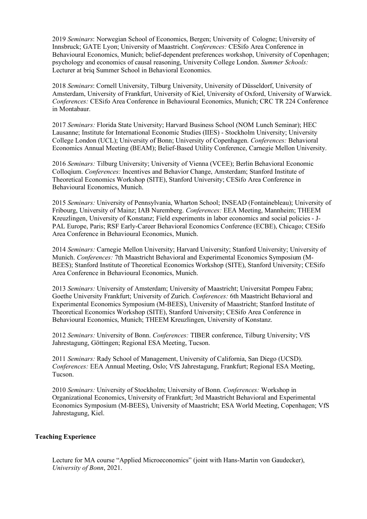2019 *Seminars*: Norwegian School of Economics, Bergen; University of Cologne; University of Innsbruck; GATE Lyon; University of Maastricht. *Conferences:* CESifo Area Conference in Behavioural Economics, Munich; belief-dependent preferences workshop, University of Copenhagen; psychology and economics of causal reasoning, University College London. *Summer Schools:*  Lecturer at briq Summer School in Behavioral Economics.

2018 *Seminars*: Cornell University, Tilburg University, University of Düsseldorf, University of Amsterdam, University of Frankfurt, University of Kiel, University of Oxford, University of Warwick. *Conferences:* CESifo Area Conference in Behavioural Economics, Munich; CRC TR 224 Conference in Montabaur.

2017 *Seminars:* Florida State University; Harvard Business School (NOM Lunch Seminar); HEC Lausanne; Institute for International Economic Studies (IIES) - Stockholm University; University College London (UCL); University of Bonn; University of Copenhagen. *Conferences:* Behavioral Economics Annual Meeting (BEAM); Belief-Based Utility Conference, Carnegie Mellon University.

2016 *Seminars:* Tilburg University; University of Vienna (VCEE); Berlin Behavioral Economic Colloqium. *Conferences:* Incentives and Behavior Change, Amsterdam; Stanford Institute of Theoretical Economics Workshop (SITE), Stanford University; CESifo Area Conference in Behavioural Economics, Munich.

2015 *Seminars:* University of Pennsylvania, Wharton School; INSEAD (Fontainebleau); University of Fribourg, University of Mainz; IAB Nuremberg. *Conferences:* EEA Meeting, Mannheim; THEEM Kreuzlingen, University of Konstanz; Field experiments in labor economics and social policies - J-PAL Europe, Paris; RSF Early-Career Behavioral Economics Conference (ECBE), Chicago; CESifo Area Conference in Behavioural Economics, Munich.

2014 *Seminars:* Carnegie Mellon University; Harvard University; Stanford University; University of Munich. *Conferences:* 7th Maastricht Behavioral and Experimental Economics Symposium (M-BEES); Stanford Institute of Theoretical Economics Workshop (SITE), Stanford University; CESifo Area Conference in Behavioural Economics, Munich.

2013 *Seminars:* University of Amsterdam; University of Maastricht; Universitat Pompeu Fabra; Goethe University Frankfurt; University of Zurich. *Conferences:* 6th Maastricht Behavioral and Experimental Economics Symposium (M-BEES), University of Maastricht; Stanford Institute of Theoretical Economics Workshop (SITE), Stanford University; CESifo Area Conference in Behavioural Economics, Munich; THEEM Kreuzlingen, University of Konstanz.

2012 *Seminars:* University of Bonn. *Conferences:* TIBER conference, Tilburg University; VfS Jahrestagung, Göttingen; Regional ESA Meeting, Tucson.

2011 *Seminars:* Rady School of Management, University of California, San Diego (UCSD). *Conferences:* EEA Annual Meeting, Oslo; VfS Jahrestagung, Frankfurt; Regional ESA Meeting, Tucson.

2010 *Seminars:* University of Stockholm; University of Bonn. *Conferences:* Workshop in Organizational Economics, University of Frankfurt; 3rd Maastricht Behavioral and Experimental Economics Symposium (M-BEES), University of Maastricht; ESA World Meeting, Copenhagen; VfS Jahrestagung, Kiel.

# **Teaching Experience**

Lecture for MA course "Applied Microeconomics" (joint with Hans-Martin von Gaudecker), *University of Bonn*, 2021.